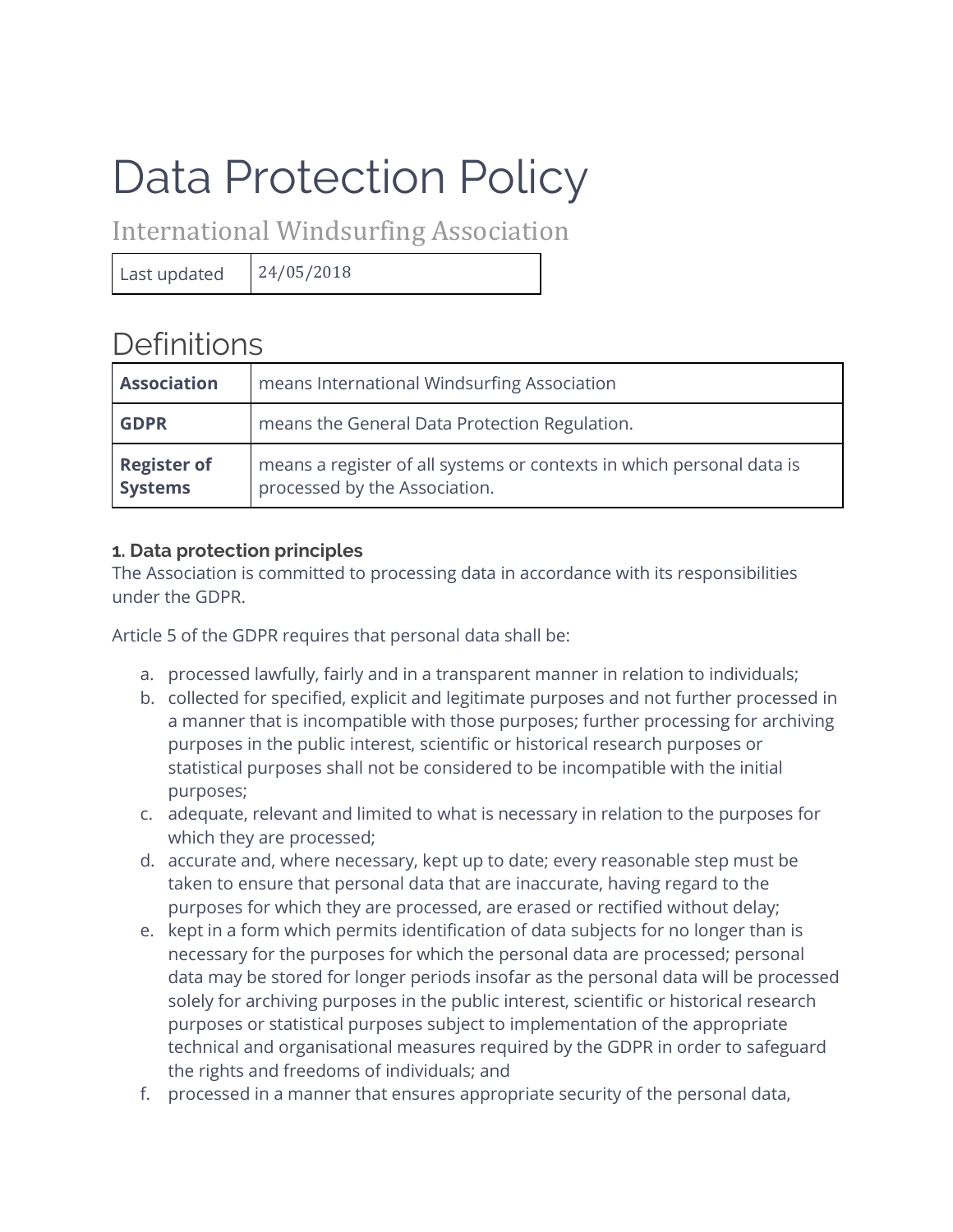# Data Protection Policy

International Windsurfing Association

Last updated  $24/05/2018$ 

**Definitions** 

| <b>Association</b>                   | means International Windsurfing Association                                                            |
|--------------------------------------|--------------------------------------------------------------------------------------------------------|
| <b>GDPR</b>                          | means the General Data Protection Regulation.                                                          |
| <b>Register of</b><br><b>Systems</b> | means a register of all systems or contexts in which personal data is<br>processed by the Association. |

# **1. Data protection principles**

The Association is committed to processing data in accordance with its responsibilities under the GDPR.

Article 5 of the GDPR requires that personal data shall be:

- a. processed lawfully, fairly and in a transparent manner in relation to individuals;
- b. collected for specified, explicit and legitimate purposes and not further processed in a manner that is incompatible with those purposes; further processing for archiving purposes in the public interest, scientific or historical research purposes or statistical purposes shall not be considered to be incompatible with the initial purposes;
- c. adequate, relevant and limited to what is necessary in relation to the purposes for which they are processed;
- d. accurate and, where necessary, kept up to date; every reasonable step must be taken to ensure that personal data that are inaccurate, having regard to the purposes for which they are processed, are erased or rectified without delay;
- e. kept in a form which permits identification of data subjects for no longer than is necessary for the purposes for which the personal data are processed; personal data may be stored for longer periods insofar as the personal data will be processed solely for archiving purposes in the public interest, scientific or historical research purposes or statistical purposes subject to implementation of the appropriate technical and organisational measures required by the GDPR in order to safeguard the rights and freedoms of individuals; and
- f. processed in a manner that ensures appropriate security of the personal data,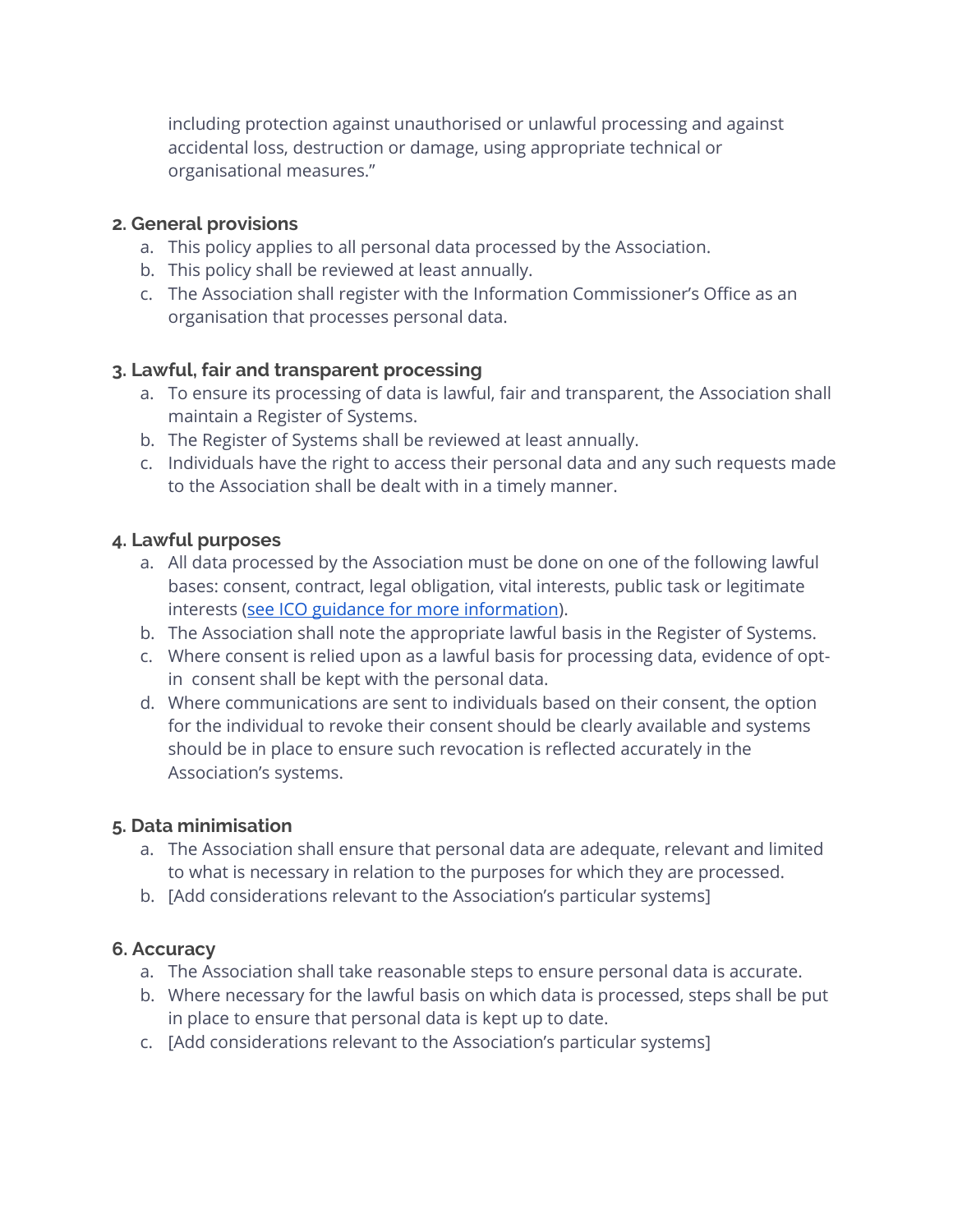including protection against unauthorised or unlawful processing and against accidental loss, destruction or damage, using appropriate technical or organisational measures."

### **2. General provisions**

- a. This policy applies to all personal data processed by the Association.
- b. This policy shall be reviewed at least annually.
- c. The Association shall register with the Information Commissioner's Office as an organisation that processes personal data.

# **3. Lawful, fair and transparent processing**

- a. To ensure its processing of data is lawful, fair and transparent, the Association shall maintain a Register of Systems.
- b. The Register of Systems shall be reviewed at least annually.
- c. Individuals have the right to access their personal data and any such requests made to the Association shall be dealt with in a timely manner.

# **4. Lawful purposes**

- a. All data processed by the Association must be done on one of the following lawful bases: consent, contract, legal obligation, vital interests, public task or legitimate interests [\(see ICO guidance for more information\)](https://ico.org.uk/for-organisations/guide-to-the-general-data-protection-regulation-gdpr/lawful-basis-for-processing/).
- b. The Association shall note the appropriate lawful basis in the Register of Systems.
- c. Where consent is relied upon as a lawful basis for processing data, evidence of optin consent shall be kept with the personal data.
- d. Where communications are sent to individuals based on their consent, the option for the individual to revoke their consent should be clearly available and systems should be in place to ensure such revocation is reflected accurately in the Association's systems.

#### **5. Data minimisation**

- a. The Association shall ensure that personal data are adequate, relevant and limited to what is necessary in relation to the purposes for which they are processed.
- b. [Add considerations relevant to the Association's particular systems]

# **6. Accuracy**

- a. The Association shall take reasonable steps to ensure personal data is accurate.
- b. Where necessary for the lawful basis on which data is processed, steps shall be put in place to ensure that personal data is kept up to date.
- c. [Add considerations relevant to the Association's particular systems]